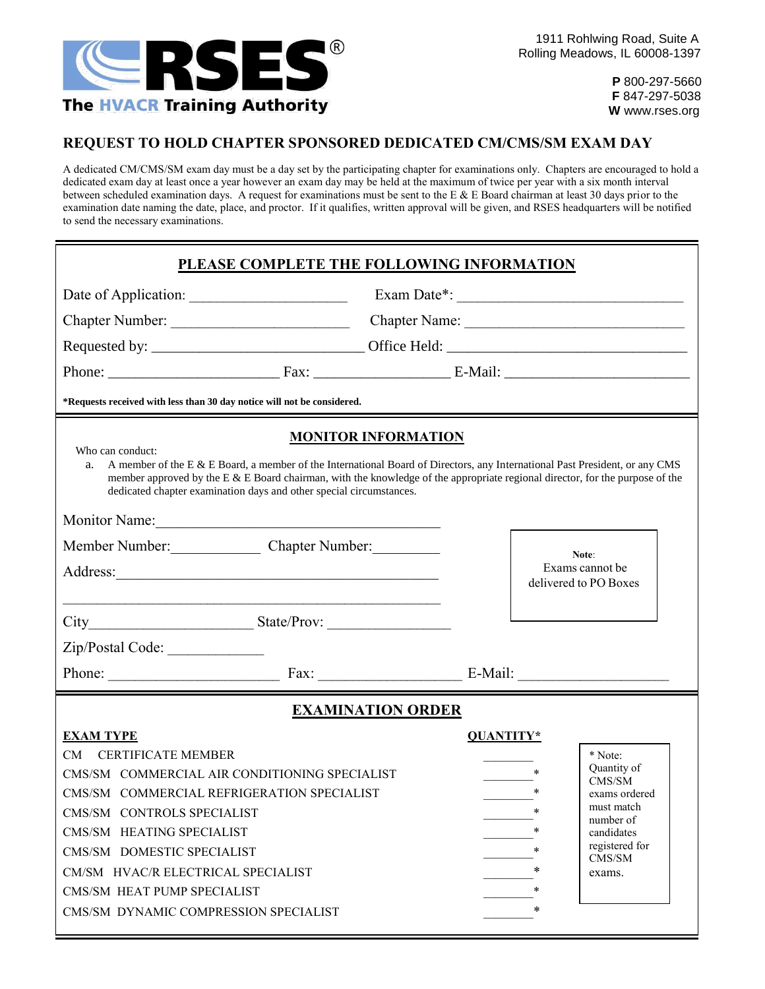

 **P** 800-297-5660  **F** 847-297-5038  **W** www.rses.org

## **REQUEST TO HOLD CHAPTER SPONSORED DEDICATED CM/CMS/SM EXAM DAY**

A dedicated CM/CMS/SM exam day must be a day set by the participating chapter for examinations only. Chapters are encouraged to hold a dedicated exam day at least once a year however an exam day may be held at the maximum of twice per year with a six month interval between scheduled examination days. A request for examinations must be sent to the E & E Board chairman at least 30 days prior to the examination date naming the date, place, and proctor. If it qualifies, written approval will be given, and RSES headquarters will be notified to send the necessary examinations.

| PLEASE COMPLETE THE FOLLOWING INFORMATION                                                                                                                                                                                                                                                                                                                                                     |                                                                                             |           |                                          |                                                                                                                                  |  |  |  |  |  |
|-----------------------------------------------------------------------------------------------------------------------------------------------------------------------------------------------------------------------------------------------------------------------------------------------------------------------------------------------------------------------------------------------|---------------------------------------------------------------------------------------------|-----------|------------------------------------------|----------------------------------------------------------------------------------------------------------------------------------|--|--|--|--|--|
| Date of Application:                                                                                                                                                                                                                                                                                                                                                                          |                                                                                             |           |                                          |                                                                                                                                  |  |  |  |  |  |
| Chapter Number:                                                                                                                                                                                                                                                                                                                                                                               |                                                                                             |           |                                          |                                                                                                                                  |  |  |  |  |  |
|                                                                                                                                                                                                                                                                                                                                                                                               |                                                                                             |           |                                          |                                                                                                                                  |  |  |  |  |  |
|                                                                                                                                                                                                                                                                                                                                                                                               |                                                                                             |           |                                          |                                                                                                                                  |  |  |  |  |  |
| *Requests received with less than 30 day notice will not be considered.                                                                                                                                                                                                                                                                                                                       |                                                                                             |           |                                          |                                                                                                                                  |  |  |  |  |  |
| <b>MONITOR INFORMATION</b><br>Who can conduct:<br>A member of the E & E Board, a member of the International Board of Directors, any International Past President, or any CMS<br>a.<br>member approved by the E $\&$ E Board chairman, with the knowledge of the appropriate regional director, for the purpose of the<br>dedicated chapter examination days and other special circumstances. |                                                                                             |           |                                          |                                                                                                                                  |  |  |  |  |  |
|                                                                                                                                                                                                                                                                                                                                                                                               | Monitor Name:                                                                               |           |                                          |                                                                                                                                  |  |  |  |  |  |
|                                                                                                                                                                                                                                                                                                                                                                                               | Member Number: Chapter Number:                                                              |           | Note:                                    |                                                                                                                                  |  |  |  |  |  |
|                                                                                                                                                                                                                                                                                                                                                                                               | Address:                                                                                    |           | Exams cannot be<br>delivered to PO Boxes |                                                                                                                                  |  |  |  |  |  |
|                                                                                                                                                                                                                                                                                                                                                                                               |                                                                                             |           |                                          |                                                                                                                                  |  |  |  |  |  |
| Zip/Postal Code:                                                                                                                                                                                                                                                                                                                                                                              |                                                                                             |           |                                          |                                                                                                                                  |  |  |  |  |  |
|                                                                                                                                                                                                                                                                                                                                                                                               | Phone: Fax: Fax: E-Mail:                                                                    |           |                                          |                                                                                                                                  |  |  |  |  |  |
| <b>EXAMINATION ORDER</b>                                                                                                                                                                                                                                                                                                                                                                      |                                                                                             |           |                                          |                                                                                                                                  |  |  |  |  |  |
| <b>EXAM TYPE</b><br><b>CERTIFICATE MEMBER</b><br>CM.<br>CMS/SM CONTROLS SPECIALIST<br>CMS/SM HEATING SPECIALIST<br>CMS/SM DOMESTIC SPECIALIST<br>CM/SM HVAC/R ELECTRICAL SPECIALIST<br>CMS/SM HEAT PUMP SPECIALIST<br>CMS/SM DYNAMIC COMPRESSION SPECIALIST                                                                                                                                   | CMS/SM COMMERCIAL AIR CONDITIONING SPECIALIST<br>CMS/SM COMMERCIAL REFRIGERATION SPECIALIST | QUANTITY* | *<br>$\star$<br>*<br>*<br>*              | * Note:<br>Quantity of<br>CMS/SM<br>exams ordered<br>must match<br>number of<br>candidates<br>registered for<br>CMS/SM<br>exams. |  |  |  |  |  |